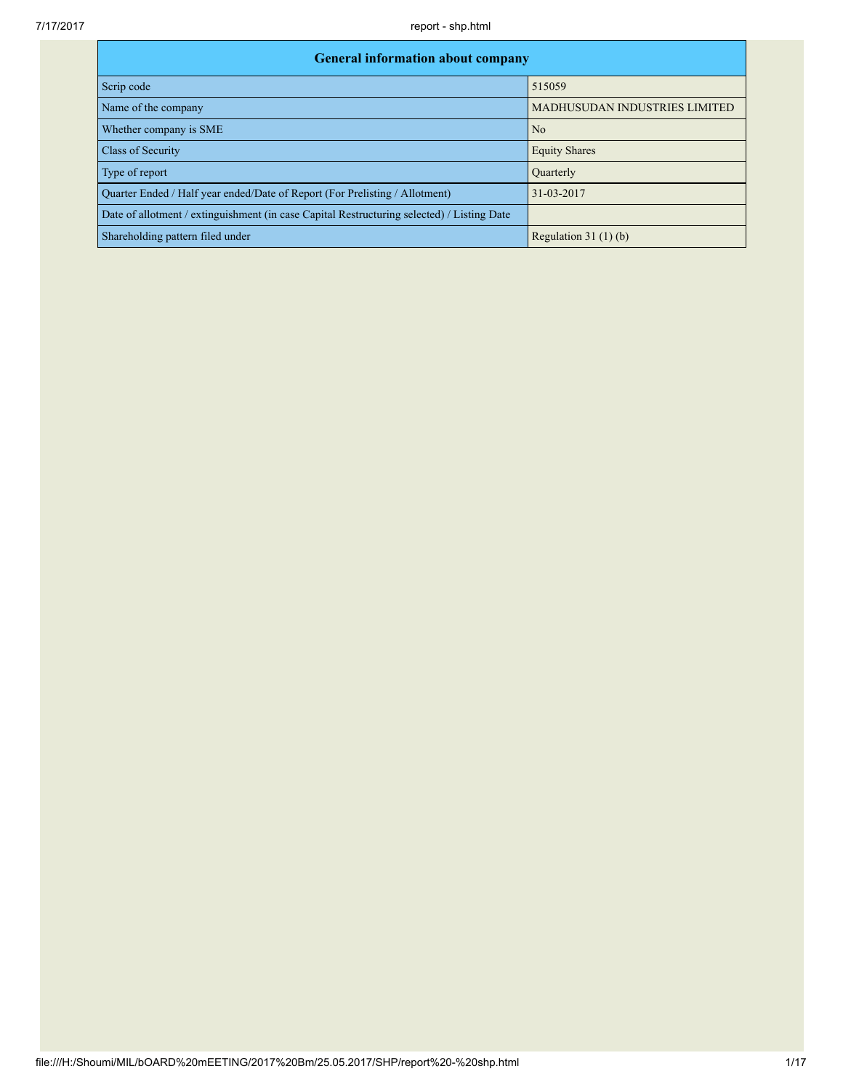| <b>General information about company</b>                                                   |                               |  |  |  |  |  |  |
|--------------------------------------------------------------------------------------------|-------------------------------|--|--|--|--|--|--|
| Scrip code                                                                                 | 515059                        |  |  |  |  |  |  |
| Name of the company                                                                        | MADHUSUDAN INDUSTRIES LIMITED |  |  |  |  |  |  |
| Whether company is SME                                                                     | No                            |  |  |  |  |  |  |
| Class of Security                                                                          | <b>Equity Shares</b>          |  |  |  |  |  |  |
| Type of report                                                                             | <b>Quarterly</b>              |  |  |  |  |  |  |
| Ouarter Ended / Half year ended/Date of Report (For Prelisting / Allotment)                | 31-03-2017                    |  |  |  |  |  |  |
| Date of allotment / extinguishment (in case Capital Restructuring selected) / Listing Date |                               |  |  |  |  |  |  |
| Shareholding pattern filed under                                                           | Regulation $31(1)(b)$         |  |  |  |  |  |  |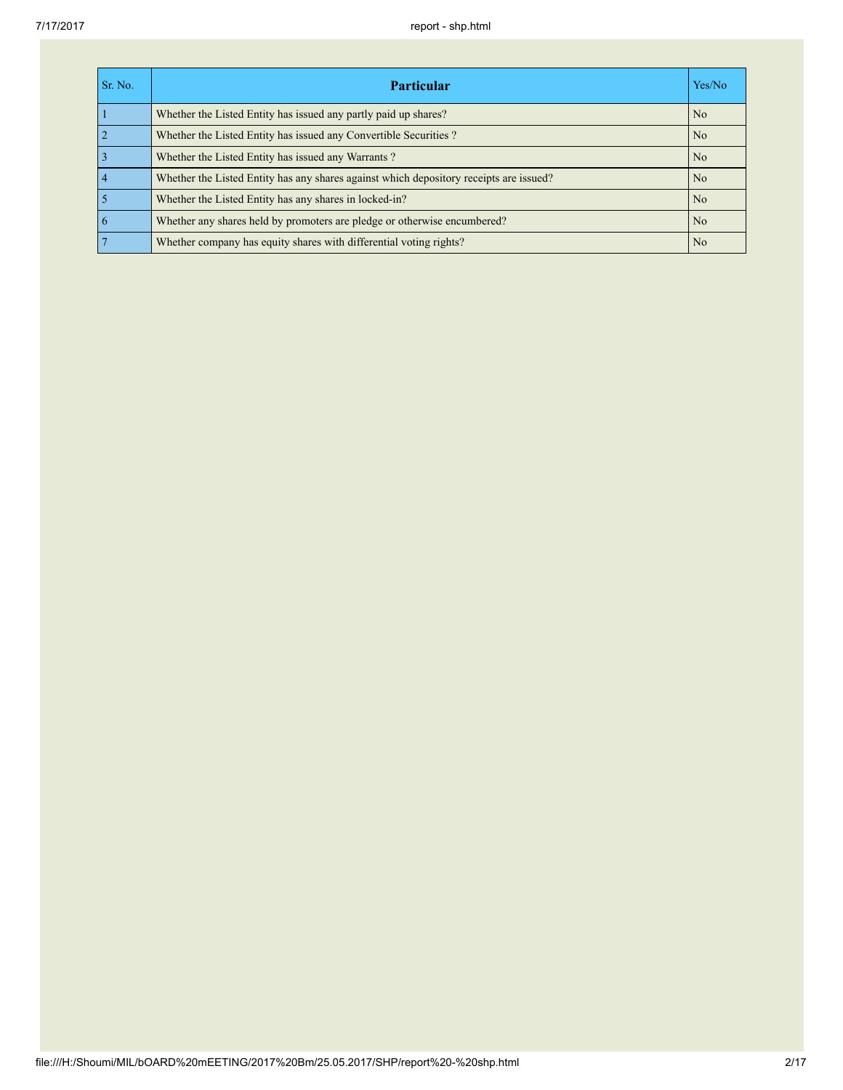| Sr. No.        | <b>Particular</b>                                                                      | Yes/No         |
|----------------|----------------------------------------------------------------------------------------|----------------|
|                | Whether the Listed Entity has issued any partly paid up shares?                        | N <sub>0</sub> |
| $\overline{2}$ | Whether the Listed Entity has issued any Convertible Securities?                       | N <sub>0</sub> |
| 3              | Whether the Listed Entity has issued any Warrants?                                     | N <sub>0</sub> |
| $\overline{4}$ | Whether the Listed Entity has any shares against which depository receipts are issued? | N <sub>0</sub> |
|                | Whether the Listed Entity has any shares in locked-in?                                 | N <sub>0</sub> |
| 6              | Whether any shares held by promoters are pledge or otherwise encumbered?               | No             |
| $\overline{7}$ | Whether company has equity shares with differential voting rights?                     | No             |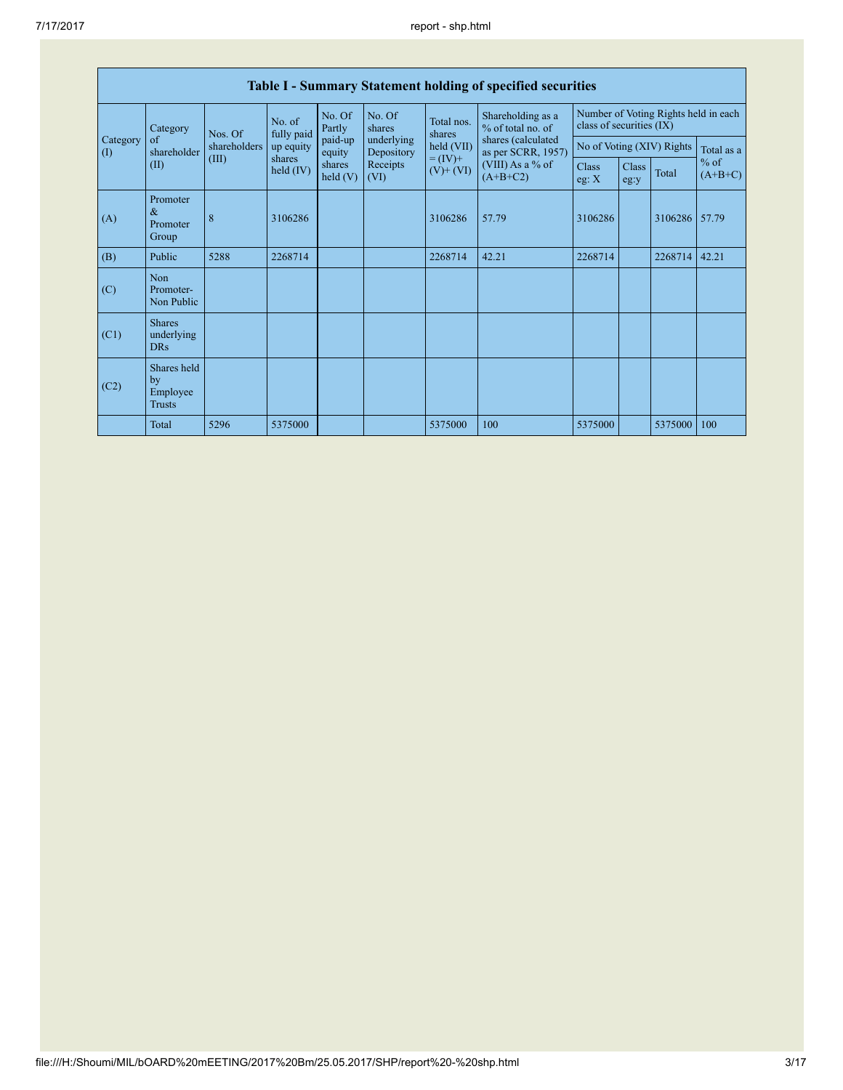| rasiv resultation y statement homanic or specified securities |                                                |                     |                    |                   |                              |                                    |                                                                                    |                                                                  |       |                     |            |
|---------------------------------------------------------------|------------------------------------------------|---------------------|--------------------|-------------------|------------------------------|------------------------------------|------------------------------------------------------------------------------------|------------------------------------------------------------------|-------|---------------------|------------|
|                                                               | Category                                       | No. of<br>Nos. Of   | fully paid         | No. Of<br>Partly  | No. Of<br>shares             | Total nos.<br>shares<br>held (VII) | Shareholding as a<br>% of total no. of<br>shares (calculated<br>as per SCRR, 1957) | Number of Voting Rights held in each<br>class of securities (IX) |       |                     |            |
| Category<br>(I)                                               | of<br>shareholder                              | shareholders        | up equity          | paid-up<br>equity | underlying<br>Depository     |                                    |                                                                                    | No of Voting (XIV) Rights                                        |       |                     | Total as a |
| (II)                                                          | (III)                                          | shares<br>held (IV) | shares<br>held (V) | Receipts<br>(VI)  | $= (IV) +$<br>$(V)$ + $(VI)$ | (VIII) As a % of<br>$(A+B+C2)$     | <b>Class</b><br>eg: $X$                                                            | <b>Class</b><br>eg:y                                             | Total | $%$ of<br>$(A+B+C)$ |            |
| (A)                                                           | Promoter<br>$\&$<br>Promoter<br>Group          | 8                   | 3106286            |                   |                              | 3106286                            | 57.79                                                                              | 3106286                                                          |       | 3106286 57.79       |            |
| (B)                                                           | Public                                         | 5288                | 2268714            |                   |                              | 2268714                            | 42.21                                                                              | 2268714                                                          |       | 2268714             | 42.21      |
| (C)                                                           | <b>Non</b><br>Promoter-<br>Non Public          |                     |                    |                   |                              |                                    |                                                                                    |                                                                  |       |                     |            |
| (C1)                                                          | <b>Shares</b><br>underlying<br><b>DRs</b>      |                     |                    |                   |                              |                                    |                                                                                    |                                                                  |       |                     |            |
| (C2)                                                          | Shares held<br>by<br>Employee<br><b>Trusts</b> |                     |                    |                   |                              |                                    |                                                                                    |                                                                  |       |                     |            |
|                                                               | Total                                          | 5296                | 5375000            |                   |                              | 5375000                            | 100                                                                                | 5375000                                                          |       | 5375000             | 100        |

## Table I - Summary Statement holding of specified securities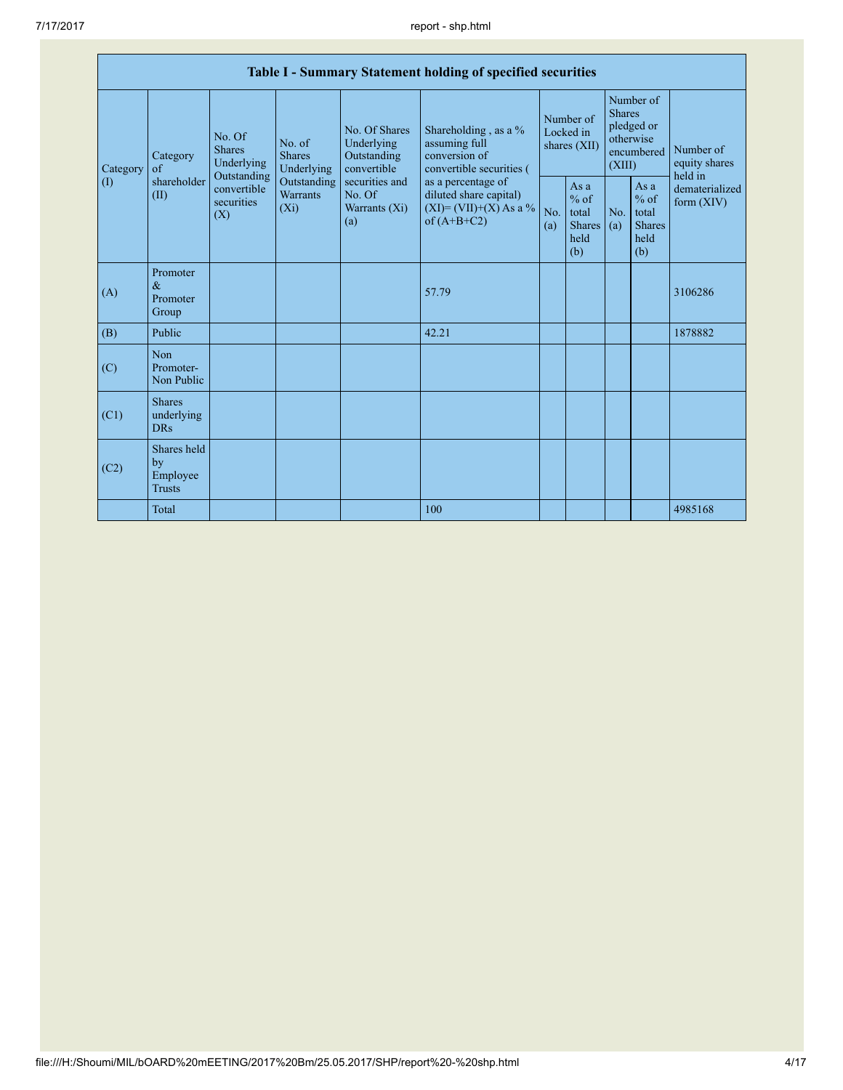|  |                 | Table I - Summary Statement holding of specified securities                  |                           |                                                                                    |                                                                                                               |                                                                                                                                                                                  |                                          |                                                         |                                                                               |                                                         |                                       |  |
|--|-----------------|------------------------------------------------------------------------------|---------------------------|------------------------------------------------------------------------------------|---------------------------------------------------------------------------------------------------------------|----------------------------------------------------------------------------------------------------------------------------------------------------------------------------------|------------------------------------------|---------------------------------------------------------|-------------------------------------------------------------------------------|---------------------------------------------------------|---------------------------------------|--|
|  | Category<br>(I) | <b>Shares</b><br>Category<br>of<br>Outstanding<br>shareholder<br>(II)<br>(X) | No. Of<br>Underlying      | No. of<br><b>Shares</b><br>Underlying<br>Outstanding<br><b>Warrants</b><br>$(X_i)$ | No. Of Shares<br>Underlying<br>Outstanding<br>convertible<br>securities and<br>No. Of<br>Warrants (Xi)<br>(a) | Shareholding, as a %<br>assuming full<br>conversion of<br>convertible securities (<br>as a percentage of<br>diluted share capital)<br>$(XI) = (VII)+(X) As a %$<br>of $(A+B+C2)$ | Number of<br>Locked in<br>shares $(XII)$ |                                                         | Number of<br><b>Shares</b><br>pledged or<br>otherwise<br>encumbered<br>(XIII) |                                                         | Number of<br>equity shares<br>held in |  |
|  |                 |                                                                              | convertible<br>securities |                                                                                    |                                                                                                               |                                                                                                                                                                                  | No.<br>(a)                               | As a<br>$%$ of<br>total<br><b>Shares</b><br>held<br>(b) | No.<br>(a)                                                                    | As a<br>$%$ of<br>total<br><b>Shares</b><br>held<br>(b) | dematerialized<br>form $(XIV)$        |  |
|  | (A)             | Promoter<br>$\&$<br>Promoter<br>Group                                        |                           |                                                                                    |                                                                                                               | 57.79                                                                                                                                                                            |                                          |                                                         |                                                                               |                                                         | 3106286                               |  |
|  | (B)             | Public                                                                       |                           |                                                                                    |                                                                                                               | 42.21                                                                                                                                                                            |                                          |                                                         |                                                                               |                                                         | 1878882                               |  |
|  | (C)             | Non<br>Promoter-<br>Non Public                                               |                           |                                                                                    |                                                                                                               |                                                                                                                                                                                  |                                          |                                                         |                                                                               |                                                         |                                       |  |
|  | (C1)            | <b>Shares</b><br>underlying<br><b>DRs</b>                                    |                           |                                                                                    |                                                                                                               |                                                                                                                                                                                  |                                          |                                                         |                                                                               |                                                         |                                       |  |
|  | (C2)            | Shares held<br>by<br>Employee<br><b>Trusts</b>                               |                           |                                                                                    |                                                                                                               |                                                                                                                                                                                  |                                          |                                                         |                                                                               |                                                         |                                       |  |
|  |                 | Total                                                                        |                           |                                                                                    |                                                                                                               | 100                                                                                                                                                                              |                                          |                                                         |                                                                               |                                                         | 4985168                               |  |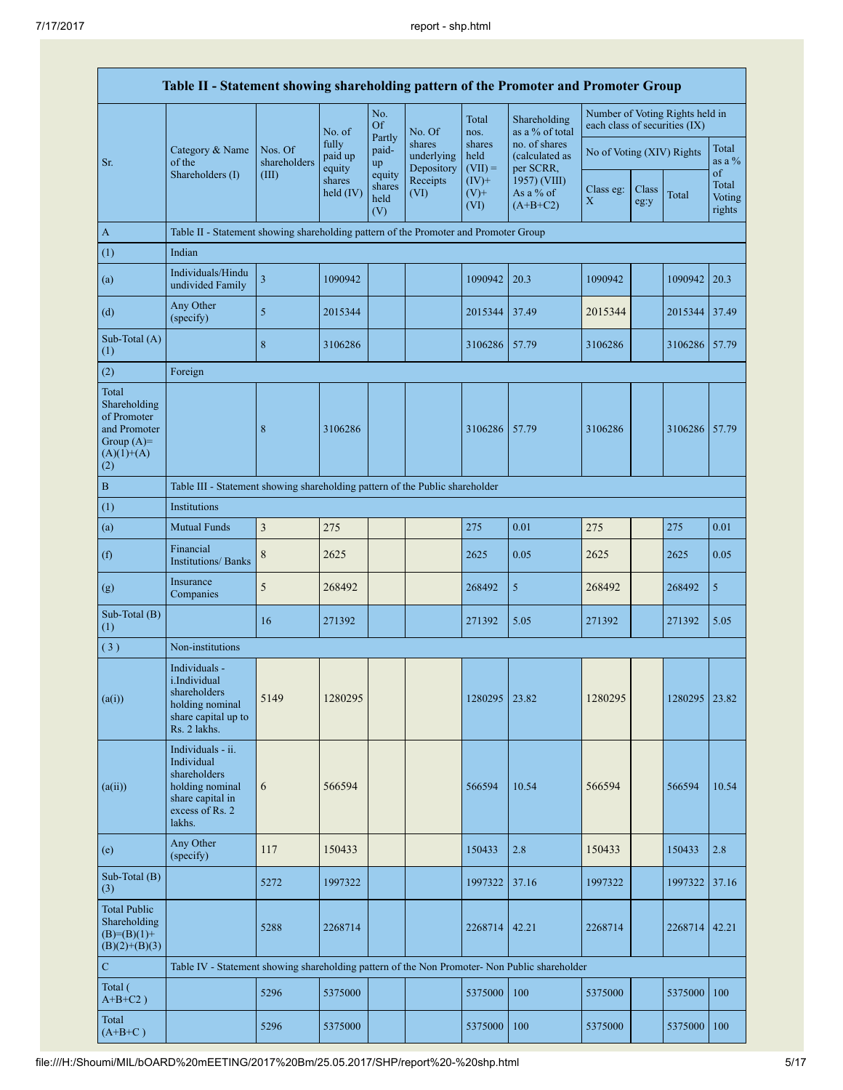|                                                                                             | Table II - Statement showing shareholding pattern of the Promoter and Promoter Group                                |                                  |                            |                                 |                                    |                             |                                              |                                                                  |               |               |                           |
|---------------------------------------------------------------------------------------------|---------------------------------------------------------------------------------------------------------------------|----------------------------------|----------------------------|---------------------------------|------------------------------------|-----------------------------|----------------------------------------------|------------------------------------------------------------------|---------------|---------------|---------------------------|
|                                                                                             |                                                                                                                     |                                  | No. of                     | No.<br><b>Of</b>                | No. Of                             | Total<br>nos.               | Shareholding<br>as a % of total              | Number of Voting Rights held in<br>each class of securities (IX) |               |               |                           |
| Sr.                                                                                         | Category & Name<br>of the<br>Shareholders (I)                                                                       | Nos. Of<br>shareholders<br>(III) | fully<br>paid up<br>equity | Partly<br>paid-<br>up<br>equity | shares<br>underlying<br>Depository | shares<br>held<br>$(VII) =$ | no. of shares<br>(calculated as<br>per SCRR, | No of Voting (XIV) Rights                                        |               |               | Total<br>as a %<br>of     |
|                                                                                             |                                                                                                                     |                                  | shares<br>held (IV)        | shares<br>held<br>(V)           | Receipts<br>(VI)                   | $(IV)$ +<br>$(V)$ +<br>(VI) | 1957) (VIII)<br>As a % of<br>$(A+B+C2)$      | Class eg:<br>X                                                   | Class<br>eg:y | Total         | Total<br>Voting<br>rights |
| $\mathbf{A}$                                                                                | Table II - Statement showing shareholding pattern of the Promoter and Promoter Group                                |                                  |                            |                                 |                                    |                             |                                              |                                                                  |               |               |                           |
| (1)                                                                                         | Indian                                                                                                              |                                  |                            |                                 |                                    |                             |                                              |                                                                  |               |               |                           |
| (a)                                                                                         | Individuals/Hindu<br>undivided Family                                                                               | $\overline{\mathbf{3}}$          | 1090942                    |                                 |                                    | 1090942                     | 20.3                                         | 1090942                                                          |               | 1090942       | 20.3                      |
| (d)                                                                                         | Any Other<br>(specify)                                                                                              | 5                                | 2015344                    |                                 |                                    | 2015344                     | 37.49                                        | 2015344                                                          |               | 2015344       | 37.49                     |
| Sub-Total $(A)$<br>(1)                                                                      |                                                                                                                     | 8                                | 3106286                    |                                 |                                    | 3106286                     | 57.79                                        | 3106286                                                          |               | 3106286 57.79 |                           |
| (2)                                                                                         | Foreign                                                                                                             |                                  |                            |                                 |                                    |                             |                                              |                                                                  |               |               |                           |
| Total<br>Shareholding<br>of Promoter<br>and Promoter<br>Group $(A)=$<br>$(A)(1)+(A)$<br>(2) |                                                                                                                     | 8                                | 3106286                    |                                 |                                    | 3106286                     | 157.79                                       | 3106286                                                          |               | 3106286 57.79 |                           |
| $\, {\bf B}$                                                                                | Table III - Statement showing shareholding pattern of the Public shareholder                                        |                                  |                            |                                 |                                    |                             |                                              |                                                                  |               |               |                           |
| (1)                                                                                         | <b>Institutions</b>                                                                                                 |                                  |                            |                                 |                                    |                             |                                              |                                                                  |               |               |                           |
| (a)                                                                                         | <b>Mutual Funds</b>                                                                                                 | $\mathfrak z$                    | 275                        |                                 |                                    | 275                         | 0.01                                         | 275                                                              |               | 275           | 0.01                      |
| (f)                                                                                         | Financial<br><b>Institutions/ Banks</b>                                                                             | $\,$ 8 $\,$                      | 2625                       |                                 |                                    | 2625                        | 0.05                                         | 2625                                                             |               | 2625          | 0.05                      |
| (g)                                                                                         | Insurance<br>Companies                                                                                              | 5                                | 268492                     |                                 |                                    | 268492                      | 5                                            | 268492                                                           |               | 268492        | 5                         |
| Sub-Total (B)<br>(1)                                                                        |                                                                                                                     | 16                               | 271392                     |                                 |                                    | 271392                      | 5.05                                         | 271392                                                           |               | 271392        | 5.05                      |
| (3)                                                                                         | Non-institutions                                                                                                    |                                  |                            |                                 |                                    |                             |                                              |                                                                  |               |               |                           |
| (a(i))                                                                                      | Individuals -<br><i>i.Individual</i><br>shareholders<br>holding nominal<br>share capital up to<br>Rs. 2 lakhs.      | 5149                             | 1280295                    |                                 |                                    | 1280295                     | 23.82                                        | 1280295                                                          |               | 1280295       | 23.82                     |
| (a(ii))                                                                                     | Individuals - ii.<br>Individual<br>shareholders<br>holding nominal<br>share capital in<br>excess of Rs. 2<br>lakhs. | 6                                | 566594                     |                                 |                                    | 566594                      | 10.54                                        | 566594                                                           |               | 566594        | 10.54                     |
| (e)                                                                                         | Any Other<br>(specify)                                                                                              | 117                              | 150433                     |                                 |                                    | 150433                      | 2.8                                          | 150433                                                           |               | 150433        | 2.8                       |
| Sub-Total (B)<br>(3)                                                                        |                                                                                                                     | 5272                             | 1997322                    |                                 |                                    | 1997322                     | 37.16                                        | 1997322                                                          |               | 1997322       | 37.16                     |
| <b>Total Public</b><br>Shareholding<br>$(B)= (B)(1) +$<br>$(B)(2)+(B)(3)$                   |                                                                                                                     | 5288                             | 2268714                    |                                 |                                    | 2268714                     | 42.21                                        | 2268714                                                          |               | 2268714       | 42.21                     |
| $\mathbf C$                                                                                 | Table IV - Statement showing shareholding pattern of the Non Promoter- Non Public shareholder                       |                                  |                            |                                 |                                    |                             |                                              |                                                                  |               |               |                           |
| Total (<br>$A+B+C2$ )                                                                       |                                                                                                                     | 5296                             | 5375000                    |                                 |                                    | 5375000                     | 100                                          | 5375000                                                          |               | 5375000       | 100                       |
| Total<br>$(A+B+C)$                                                                          |                                                                                                                     | 5296                             | 5375000                    |                                 |                                    | 5375000                     | 100                                          | 5375000                                                          |               | 5375000       | 100                       |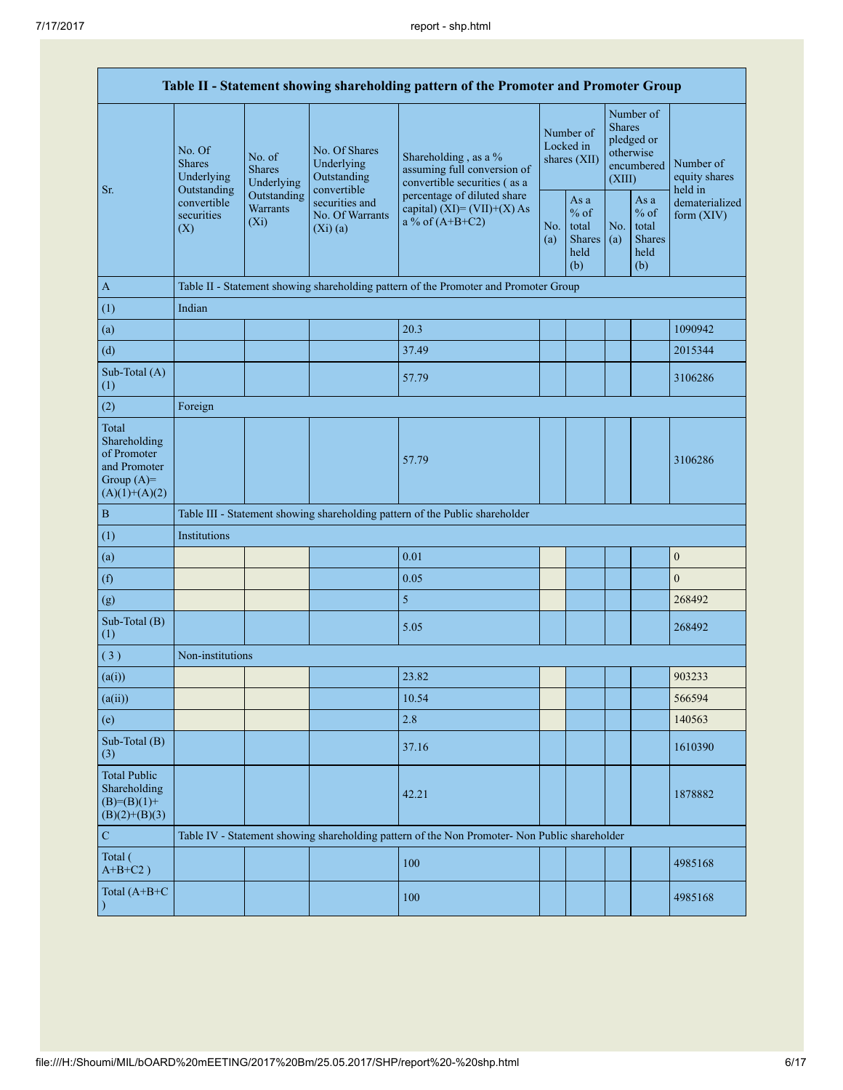| Table II - Statement showing shareholding pattern of the Promoter and Promoter Group    |                                                      |                                                                                    |                                                           |                                                                                               |            |                                                         |            |                                                                               |                                       |  |
|-----------------------------------------------------------------------------------------|------------------------------------------------------|------------------------------------------------------------------------------------|-----------------------------------------------------------|-----------------------------------------------------------------------------------------------|------------|---------------------------------------------------------|------------|-------------------------------------------------------------------------------|---------------------------------------|--|
| Sr.                                                                                     | No. Of<br><b>Shares</b><br>Underlying<br>Outstanding | No. of<br><b>Shares</b><br>Underlying                                              | No. Of Shares<br>Underlying<br>Outstanding<br>convertible | Shareholding, as a %<br>assuming full conversion of<br>convertible securities (as a           |            | Number of<br>Locked in<br>shares (XII)                  |            | Number of<br><b>Shares</b><br>pledged or<br>otherwise<br>encumbered<br>(XIII) | Number of<br>equity shares<br>held in |  |
|                                                                                         | convertible<br>securities<br>(X)                     | Outstanding<br>securities and<br>Warrants<br>No. Of Warrants<br>$(X_i)$<br>(Xi)(a) |                                                           | percentage of diluted share<br>capital) $(XI) = (VII)+(X) As$<br>a % of $(A+B+C2)$            | No.<br>(a) | As a<br>$%$ of<br>total<br><b>Shares</b><br>held<br>(b) | No.<br>(a) | As a<br>$%$ of<br>total<br><b>Shares</b><br>held<br>(b)                       | dematerialized<br>form $(XIV)$        |  |
| $\mathbf{A}$                                                                            |                                                      |                                                                                    |                                                           | Table II - Statement showing shareholding pattern of the Promoter and Promoter Group          |            |                                                         |            |                                                                               |                                       |  |
| (1)                                                                                     | Indian                                               |                                                                                    |                                                           |                                                                                               |            |                                                         |            |                                                                               |                                       |  |
| (a)                                                                                     |                                                      |                                                                                    |                                                           | 20.3                                                                                          |            |                                                         |            |                                                                               | 1090942                               |  |
| (d)                                                                                     |                                                      |                                                                                    |                                                           | 37.49                                                                                         |            |                                                         |            |                                                                               | 2015344                               |  |
| Sub-Total (A)<br>(1)                                                                    |                                                      |                                                                                    |                                                           | 57.79                                                                                         |            |                                                         |            |                                                                               | 3106286                               |  |
| (2)                                                                                     | Foreign                                              |                                                                                    |                                                           |                                                                                               |            |                                                         |            |                                                                               |                                       |  |
| Total<br>Shareholding<br>of Promoter<br>and Promoter<br>Group $(A)=$<br>$(A)(1)+(A)(2)$ |                                                      |                                                                                    |                                                           | 57.79                                                                                         |            |                                                         |            |                                                                               | 3106286                               |  |
| $\, {\bf B}$                                                                            |                                                      |                                                                                    |                                                           | Table III - Statement showing shareholding pattern of the Public shareholder                  |            |                                                         |            |                                                                               |                                       |  |
| (1)                                                                                     | Institutions                                         |                                                                                    |                                                           |                                                                                               |            |                                                         |            |                                                                               |                                       |  |
| (a)                                                                                     |                                                      |                                                                                    |                                                           | 0.01                                                                                          |            |                                                         |            |                                                                               | $\boldsymbol{0}$                      |  |
| (f)                                                                                     |                                                      |                                                                                    |                                                           | 0.05                                                                                          |            |                                                         |            |                                                                               | $\boldsymbol{0}$                      |  |
| (g)                                                                                     |                                                      |                                                                                    |                                                           | 5                                                                                             |            |                                                         |            |                                                                               | 268492                                |  |
| Sub-Total (B)<br>(1)                                                                    |                                                      |                                                                                    |                                                           | 5.05                                                                                          |            |                                                         |            |                                                                               | 268492                                |  |
| (3)                                                                                     | Non-institutions                                     |                                                                                    |                                                           |                                                                                               |            |                                                         |            |                                                                               |                                       |  |
| (a(i))                                                                                  |                                                      |                                                                                    |                                                           | 23.82                                                                                         |            |                                                         |            |                                                                               | 903233                                |  |
| (a(ii))                                                                                 |                                                      |                                                                                    |                                                           | 10.54                                                                                         |            |                                                         |            |                                                                               | 566594                                |  |
| (e)                                                                                     |                                                      |                                                                                    |                                                           | 2.8                                                                                           |            |                                                         |            |                                                                               | 140563                                |  |
| Sub-Total (B)<br>(3)                                                                    |                                                      |                                                                                    |                                                           | 37.16                                                                                         |            |                                                         |            |                                                                               | 1610390                               |  |
| <b>Total Public</b><br>Shareholding<br>$(B)= (B)(1) +$<br>$(B)(2)+(B)(3)$               |                                                      |                                                                                    |                                                           | 42.21                                                                                         |            |                                                         |            |                                                                               | 1878882                               |  |
| $\mathbf C$                                                                             |                                                      |                                                                                    |                                                           | Table IV - Statement showing shareholding pattern of the Non Promoter- Non Public shareholder |            |                                                         |            |                                                                               |                                       |  |
| Total (<br>$A+B+C2$ )                                                                   |                                                      |                                                                                    |                                                           | 100                                                                                           |            |                                                         |            |                                                                               | 4985168                               |  |
| Total (A+B+C                                                                            |                                                      |                                                                                    |                                                           | 100                                                                                           |            |                                                         |            |                                                                               | 4985168                               |  |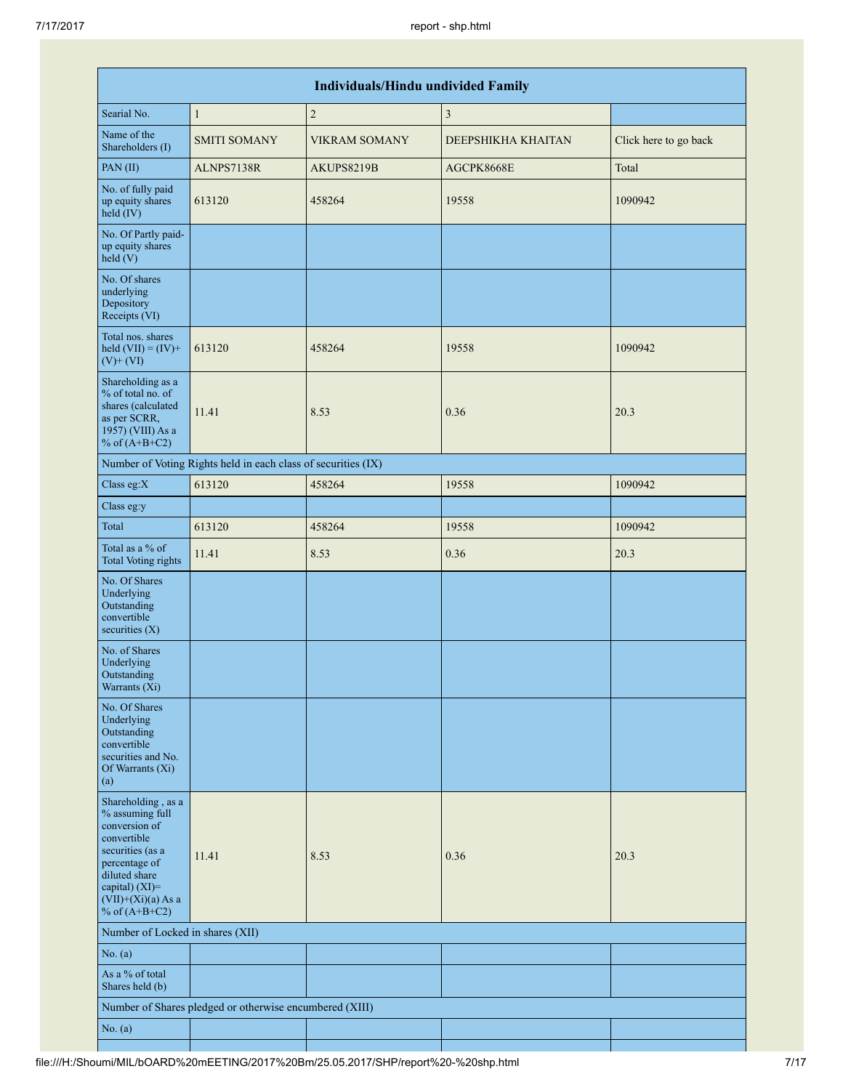| <b>Individuals/Hindu undivided Family</b>                                                                                                                                                   |                                                         |                      |                    |                       |  |  |  |  |  |  |
|---------------------------------------------------------------------------------------------------------------------------------------------------------------------------------------------|---------------------------------------------------------|----------------------|--------------------|-----------------------|--|--|--|--|--|--|
| Searial No.                                                                                                                                                                                 | $\mathbf{1}$                                            | $\sqrt{2}$           | $\mathfrak{Z}$     |                       |  |  |  |  |  |  |
| Name of the<br>Shareholders (I)                                                                                                                                                             | <b>SMITI SOMANY</b>                                     | <b>VIKRAM SOMANY</b> | DEEPSHIKHA KHAITAN | Click here to go back |  |  |  |  |  |  |
| PAN(II)                                                                                                                                                                                     | ALNPS7138R                                              | AKUPS8219B           | AGCPK8668E         | Total                 |  |  |  |  |  |  |
| No. of fully paid<br>up equity shares<br>held (IV)                                                                                                                                          | 613120                                                  | 458264               | 19558              | 1090942               |  |  |  |  |  |  |
| No. Of Partly paid-<br>up equity shares<br>held $(V)$                                                                                                                                       |                                                         |                      |                    |                       |  |  |  |  |  |  |
| No. Of shares<br>underlying<br>Depository<br>Receipts (VI)                                                                                                                                  |                                                         |                      |                    |                       |  |  |  |  |  |  |
| Total nos. shares<br>held $(VII) = (IV) +$<br>$(V)+(VI)$                                                                                                                                    | 613120                                                  | 458264               | 19558              | 1090942               |  |  |  |  |  |  |
| Shareholding as a<br>% of total no. of<br>shares (calculated<br>as per SCRR,<br>1957) (VIII) As a<br>% of $(A+B+C2)$                                                                        | 11.41                                                   | 8.53                 | 0.36               | 20.3                  |  |  |  |  |  |  |
| Number of Voting Rights held in each class of securities (IX)                                                                                                                               |                                                         |                      |                    |                       |  |  |  |  |  |  |
| Class eg: $X$                                                                                                                                                                               | 613120                                                  | 458264               | 19558              | 1090942               |  |  |  |  |  |  |
| Class eg:y                                                                                                                                                                                  |                                                         |                      |                    |                       |  |  |  |  |  |  |
| Total                                                                                                                                                                                       | 613120                                                  | 458264               | 19558              | 1090942               |  |  |  |  |  |  |
| Total as a % of<br><b>Total Voting rights</b>                                                                                                                                               | 11.41                                                   | 8.53                 | 0.36               | 20.3                  |  |  |  |  |  |  |
| No. Of Shares<br>Underlying<br>Outstanding<br>convertible<br>securities $(X)$                                                                                                               |                                                         |                      |                    |                       |  |  |  |  |  |  |
| No. of Shares<br>Underlying<br>Outstanding<br>Warrants (Xi)                                                                                                                                 |                                                         |                      |                    |                       |  |  |  |  |  |  |
| No. Of Shares<br>Underlying<br>Outstanding<br>convertible<br>securities and No.<br>Of Warrants (Xi)<br>(a)                                                                                  |                                                         |                      |                    |                       |  |  |  |  |  |  |
| Shareholding, as a<br>% assuming full<br>conversion of<br>convertible<br>securities (as a<br>percentage of<br>diluted share<br>capital) $(XI)$ =<br>$(VII)+(Xi)(a)$ As a<br>% of $(A+B+C2)$ | 11.41                                                   | 8.53                 | 0.36               | 20.3                  |  |  |  |  |  |  |
| Number of Locked in shares (XII)                                                                                                                                                            |                                                         |                      |                    |                       |  |  |  |  |  |  |
| No. (a)                                                                                                                                                                                     |                                                         |                      |                    |                       |  |  |  |  |  |  |
| As a % of total<br>Shares held (b)                                                                                                                                                          |                                                         |                      |                    |                       |  |  |  |  |  |  |
|                                                                                                                                                                                             | Number of Shares pledged or otherwise encumbered (XIII) |                      |                    |                       |  |  |  |  |  |  |
| No. (a)                                                                                                                                                                                     |                                                         |                      |                    |                       |  |  |  |  |  |  |

H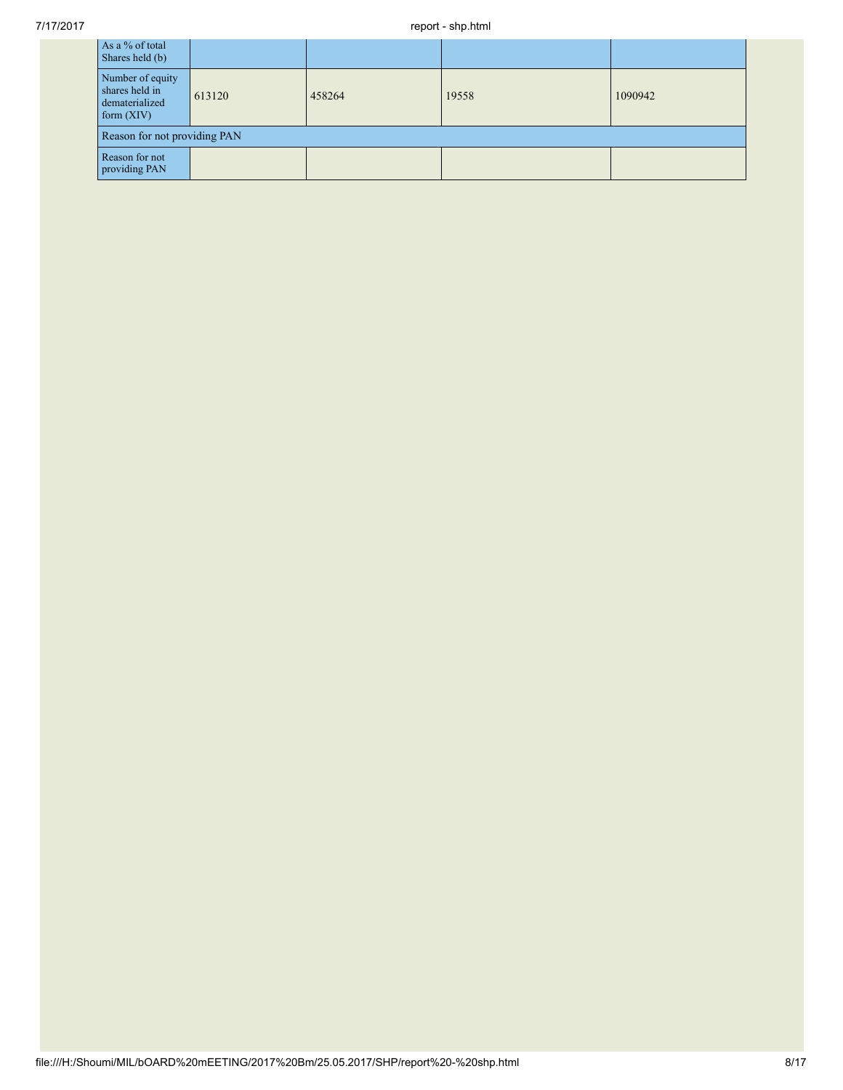| As a % of total<br>Shares held (b)                                   |        |        |       |         |  |  |  |
|----------------------------------------------------------------------|--------|--------|-------|---------|--|--|--|
| Number of equity<br>shares held in<br>dematerialized<br>form $(XIV)$ | 613120 | 458264 | 19558 | 1090942 |  |  |  |
| Reason for not providing PAN                                         |        |        |       |         |  |  |  |
| Reason for not<br>providing PAN                                      |        |        |       |         |  |  |  |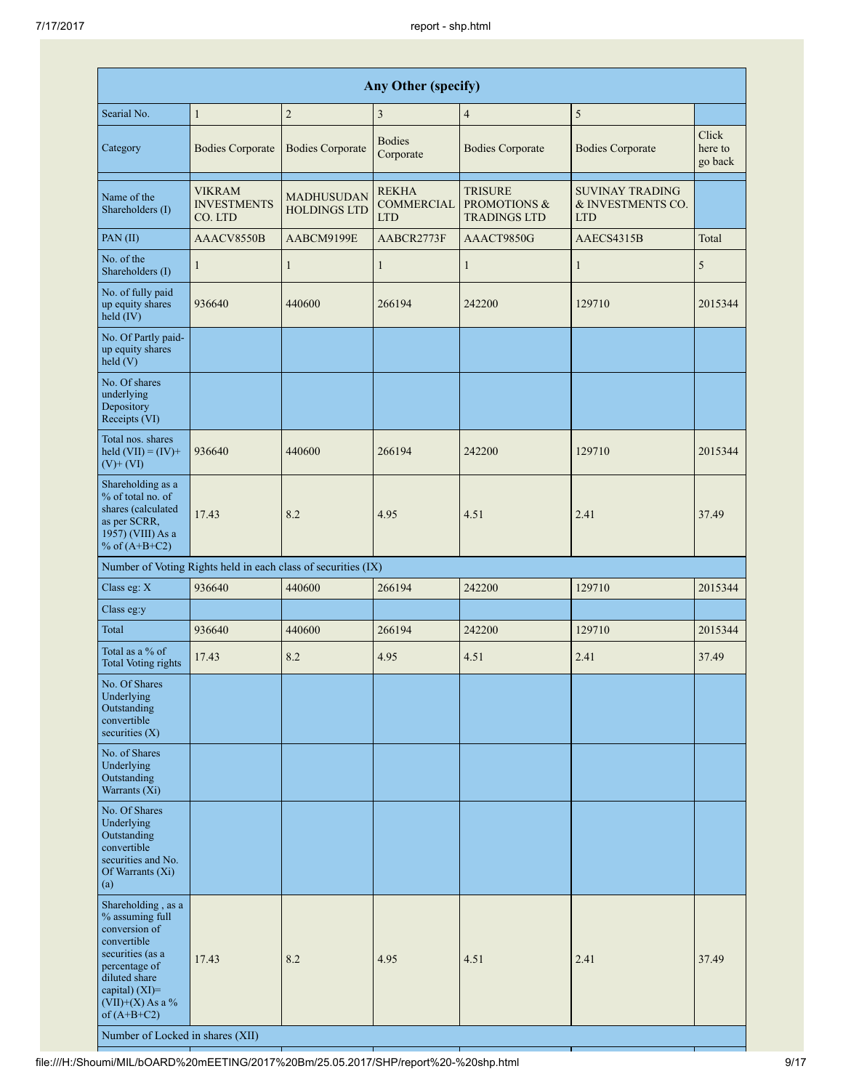|                                                                                                                                                                                                                             |                                                |                                                               | Any Other (specify)                             |                                                                  |                                                           |                             |
|-----------------------------------------------------------------------------------------------------------------------------------------------------------------------------------------------------------------------------|------------------------------------------------|---------------------------------------------------------------|-------------------------------------------------|------------------------------------------------------------------|-----------------------------------------------------------|-----------------------------|
| Searial No.                                                                                                                                                                                                                 | $\mathbf{1}$                                   | $\sqrt{2}$                                                    | $\mathfrak{Z}$                                  | $\overline{4}$                                                   | $\sqrt{5}$                                                |                             |
| Category                                                                                                                                                                                                                    | <b>Bodies Corporate</b>                        | <b>Bodies Corporate</b>                                       | <b>Bodies</b><br>Corporate                      | <b>Bodies Corporate</b>                                          | <b>Bodies Corporate</b>                                   | Click<br>here to<br>go back |
| Name of the<br>Shareholders (I)                                                                                                                                                                                             | <b>VIKRAM</b><br><b>INVESTMENTS</b><br>CO. LTD | MADHUSUDAN<br><b>HOLDINGS LTD</b>                             | <b>REKHA</b><br><b>COMMERCIAL</b><br><b>LTD</b> | <b>TRISURE</b><br><b>PROMOTIONS &amp;</b><br><b>TRADINGS LTD</b> | <b>SUVINAY TRADING</b><br>& INVESTMENTS CO.<br><b>LTD</b> |                             |
| PAN (II)                                                                                                                                                                                                                    | AAACV8550B                                     | AABCM9199E                                                    | AABCR2773F                                      | AAACT9850G                                                       | AAECS4315B                                                | Total                       |
| No. of the<br>Shareholders (I)                                                                                                                                                                                              | 1                                              | $\mathbf{1}$                                                  | $\mathbf{1}$                                    | $\mathbf{1}$                                                     | 1                                                         | 5                           |
| No. of fully paid<br>up equity shares<br>held (IV)                                                                                                                                                                          | 936640                                         | 440600                                                        | 266194                                          | 242200                                                           | 129710                                                    | 2015344                     |
| No. Of Partly paid-<br>up equity shares<br>held(V)                                                                                                                                                                          |                                                |                                                               |                                                 |                                                                  |                                                           |                             |
| No. Of shares<br>underlying<br>Depository<br>Receipts (VI)                                                                                                                                                                  |                                                |                                                               |                                                 |                                                                  |                                                           |                             |
| Total nos, shares<br>held $(VII) = (IV) +$<br>$(V)$ + $(VI)$                                                                                                                                                                | 936640                                         | 440600                                                        | 266194                                          | 242200                                                           | 129710                                                    | 2015344                     |
| Shareholding as a<br>% of total no. of<br>shares (calculated<br>as per SCRR,<br>1957) (VIII) As a<br>% of $(A+B+C2)$                                                                                                        | 17.43                                          | 8.2                                                           | 4.95                                            | 4.51                                                             | 2.41                                                      | 37.49                       |
|                                                                                                                                                                                                                             |                                                | Number of Voting Rights held in each class of securities (IX) |                                                 |                                                                  |                                                           |                             |
| Class eg: X                                                                                                                                                                                                                 | 936640                                         | 440600                                                        | 266194                                          | 242200                                                           | 129710                                                    | 2015344                     |
| Class eg:y                                                                                                                                                                                                                  |                                                |                                                               |                                                 |                                                                  |                                                           |                             |
| Total                                                                                                                                                                                                                       | 936640                                         | 440600                                                        | 266194                                          | 242200                                                           | 129710                                                    | 2015344                     |
| Total as a % of<br><b>Total Voting rights</b>                                                                                                                                                                               | 17.43                                          | 8.2                                                           | 4.95                                            | 4.51                                                             | 2.41                                                      | 37.49                       |
| No. Of Shares<br>Underlying<br>Outstanding<br>convertible<br>securities $(X)$                                                                                                                                               |                                                |                                                               |                                                 |                                                                  |                                                           |                             |
| No. of Shares<br>Underlying<br>Outstanding<br>Warrants (Xi)                                                                                                                                                                 |                                                |                                                               |                                                 |                                                                  |                                                           |                             |
| No. Of Shares<br>Underlying<br>Outstanding<br>convertible<br>securities and No.<br>Of Warrants (Xi)<br>(a)                                                                                                                  |                                                |                                                               |                                                 |                                                                  |                                                           |                             |
| Shareholding, as a<br>% assuming full<br>conversion of<br>convertible<br>securities (as a<br>percentage of<br>diluted share<br>capital) $(XI)$ =<br>$(VII)+(X)$ As a %<br>of $(A+B+C2)$<br>Number of Locked in shares (XII) | 17.43                                          | 8.2                                                           | 4.95                                            | 4.51                                                             | 2.41                                                      | 37.49                       |

┦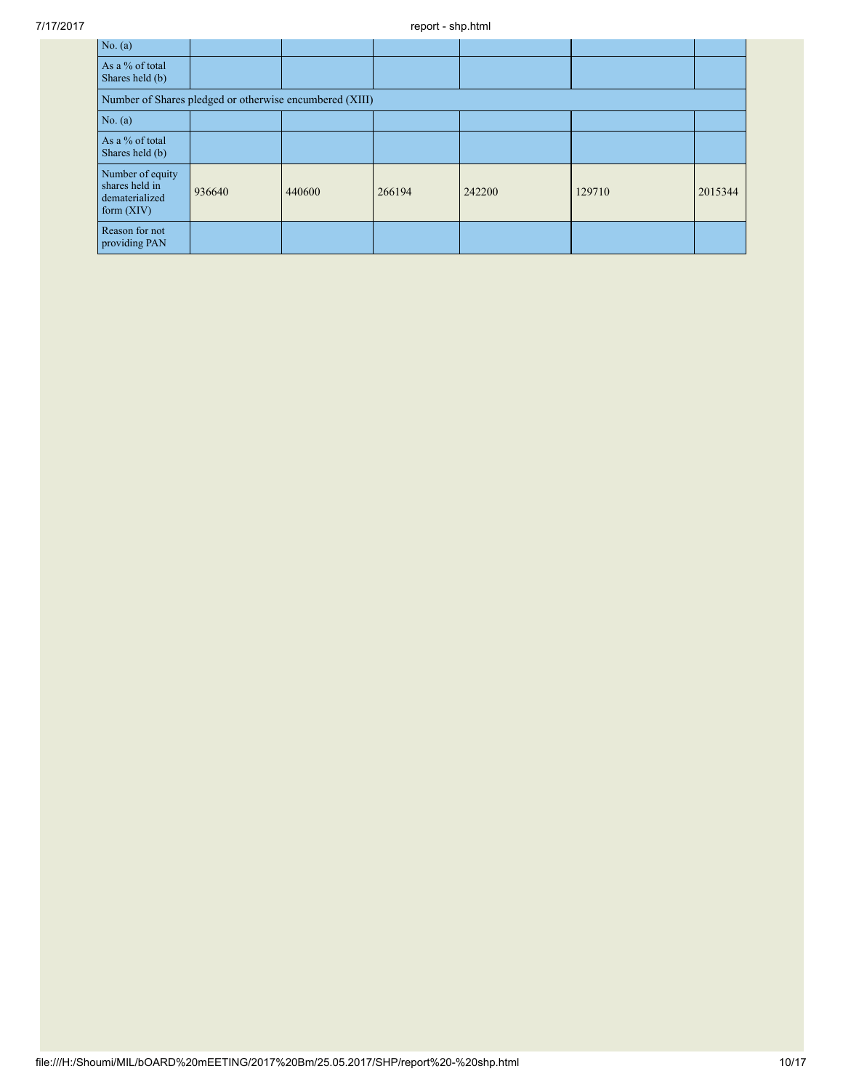| No. $(a)$                                                            |        |        |        |        |        |         |  |  |  |
|----------------------------------------------------------------------|--------|--------|--------|--------|--------|---------|--|--|--|
| As a % of total<br>Shares held (b)                                   |        |        |        |        |        |         |  |  |  |
| Number of Shares pledged or otherwise encumbered (XIII)              |        |        |        |        |        |         |  |  |  |
| No. $(a)$                                                            |        |        |        |        |        |         |  |  |  |
| As a % of total<br>Shares held (b)                                   |        |        |        |        |        |         |  |  |  |
| Number of equity<br>shares held in<br>dematerialized<br>form $(XIV)$ | 936640 | 440600 | 266194 | 242200 | 129710 | 2015344 |  |  |  |
| Reason for not<br>providing PAN                                      |        |        |        |        |        |         |  |  |  |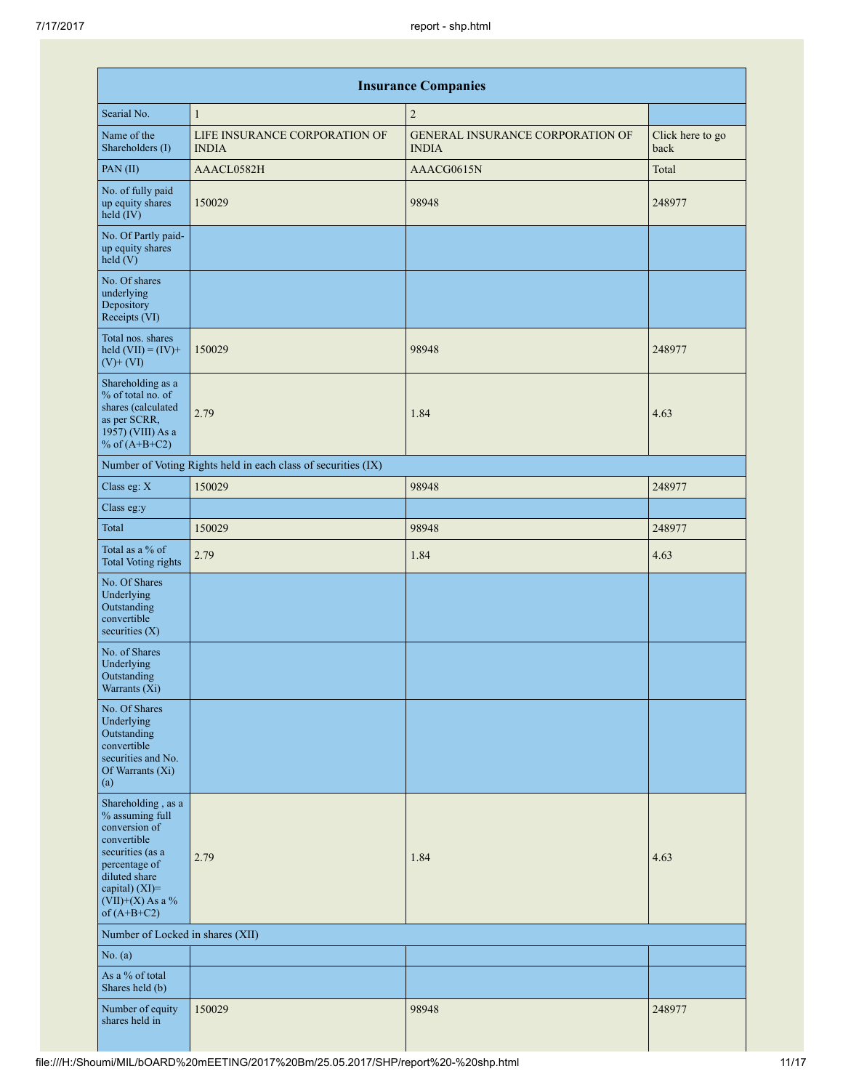| <b>Insurance Companies</b>                                                                                                                                                              |                                                               |                                                         |                          |  |  |  |  |  |  |  |
|-----------------------------------------------------------------------------------------------------------------------------------------------------------------------------------------|---------------------------------------------------------------|---------------------------------------------------------|--------------------------|--|--|--|--|--|--|--|
| Searial No.                                                                                                                                                                             | $\mathbf{1}$                                                  | $\overline{2}$                                          |                          |  |  |  |  |  |  |  |
| Name of the<br>Shareholders (I)                                                                                                                                                         | LIFE INSURANCE CORPORATION OF<br><b>INDIA</b>                 | <b>GENERAL INSURANCE CORPORATION OF</b><br><b>INDIA</b> | Click here to go<br>back |  |  |  |  |  |  |  |
| PAN(II)                                                                                                                                                                                 | AAACL0582H                                                    | AAACG0615N                                              | Total                    |  |  |  |  |  |  |  |
| No. of fully paid<br>up equity shares<br>held (IV)                                                                                                                                      | 150029                                                        | 98948                                                   | 248977                   |  |  |  |  |  |  |  |
| No. Of Partly paid-<br>up equity shares<br>held(V)                                                                                                                                      |                                                               |                                                         |                          |  |  |  |  |  |  |  |
| No. Of shares<br>underlying<br>Depository<br>Receipts (VI)                                                                                                                              |                                                               |                                                         |                          |  |  |  |  |  |  |  |
| Total nos. shares<br>held $(VII) = (IV) +$<br>$(V)+(VI)$                                                                                                                                | 150029                                                        | 98948                                                   | 248977                   |  |  |  |  |  |  |  |
| Shareholding as a<br>% of total no. of<br>shares (calculated<br>as per SCRR,<br>1957) (VIII) As a<br>% of $(A+B+C2)$                                                                    | 2.79                                                          | 1.84                                                    | 4.63                     |  |  |  |  |  |  |  |
|                                                                                                                                                                                         | Number of Voting Rights held in each class of securities (IX) |                                                         |                          |  |  |  |  |  |  |  |
| Class eg: X                                                                                                                                                                             | 150029                                                        | 98948                                                   | 248977                   |  |  |  |  |  |  |  |
| Class eg:y                                                                                                                                                                              |                                                               |                                                         |                          |  |  |  |  |  |  |  |
| Total                                                                                                                                                                                   | 150029                                                        | 98948                                                   | 248977                   |  |  |  |  |  |  |  |
| Total as a % of<br><b>Total Voting rights</b>                                                                                                                                           | 2.79                                                          | 1.84                                                    | 4.63                     |  |  |  |  |  |  |  |
| No. Of Shares<br>Underlying<br>Outstanding<br>convertible<br>securities $(X)$                                                                                                           |                                                               |                                                         |                          |  |  |  |  |  |  |  |
| No. of Shares<br>Underlying<br>Outstanding<br>Warrants (Xi)                                                                                                                             |                                                               |                                                         |                          |  |  |  |  |  |  |  |
| No. Of Shares<br>Underlying<br>Outstanding<br>convertible<br>securities and No.<br>Of Warrants (Xi)<br>(a)                                                                              |                                                               |                                                         |                          |  |  |  |  |  |  |  |
| Shareholding, as a<br>% assuming full<br>conversion of<br>convertible<br>securities (as a<br>percentage of<br>diluted share<br>capital) $(XI)$ =<br>$(VII)+(X)$ As a %<br>of $(A+B+C2)$ | 2.79                                                          | 1.84                                                    | 4.63                     |  |  |  |  |  |  |  |
| Number of Locked in shares (XII)                                                                                                                                                        |                                                               |                                                         |                          |  |  |  |  |  |  |  |
| No. $(a)$                                                                                                                                                                               |                                                               |                                                         |                          |  |  |  |  |  |  |  |
| As a % of total<br>Shares held (b)                                                                                                                                                      |                                                               |                                                         |                          |  |  |  |  |  |  |  |
| Number of equity<br>shares held in                                                                                                                                                      | 150029                                                        | 98948                                                   | 248977                   |  |  |  |  |  |  |  |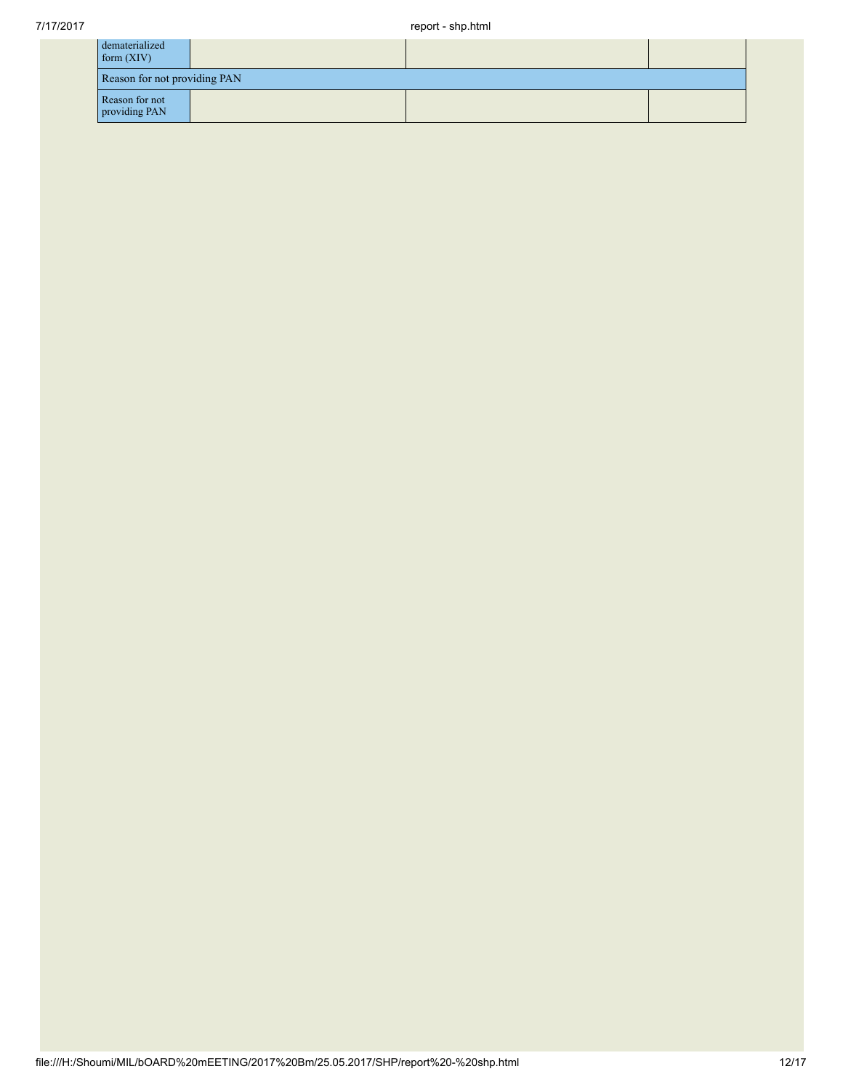| dematerialized<br>form(XIV)     |  |  |  |  |  |  |  |
|---------------------------------|--|--|--|--|--|--|--|
| Reason for not providing PAN    |  |  |  |  |  |  |  |
| Reason for not<br>providing PAN |  |  |  |  |  |  |  |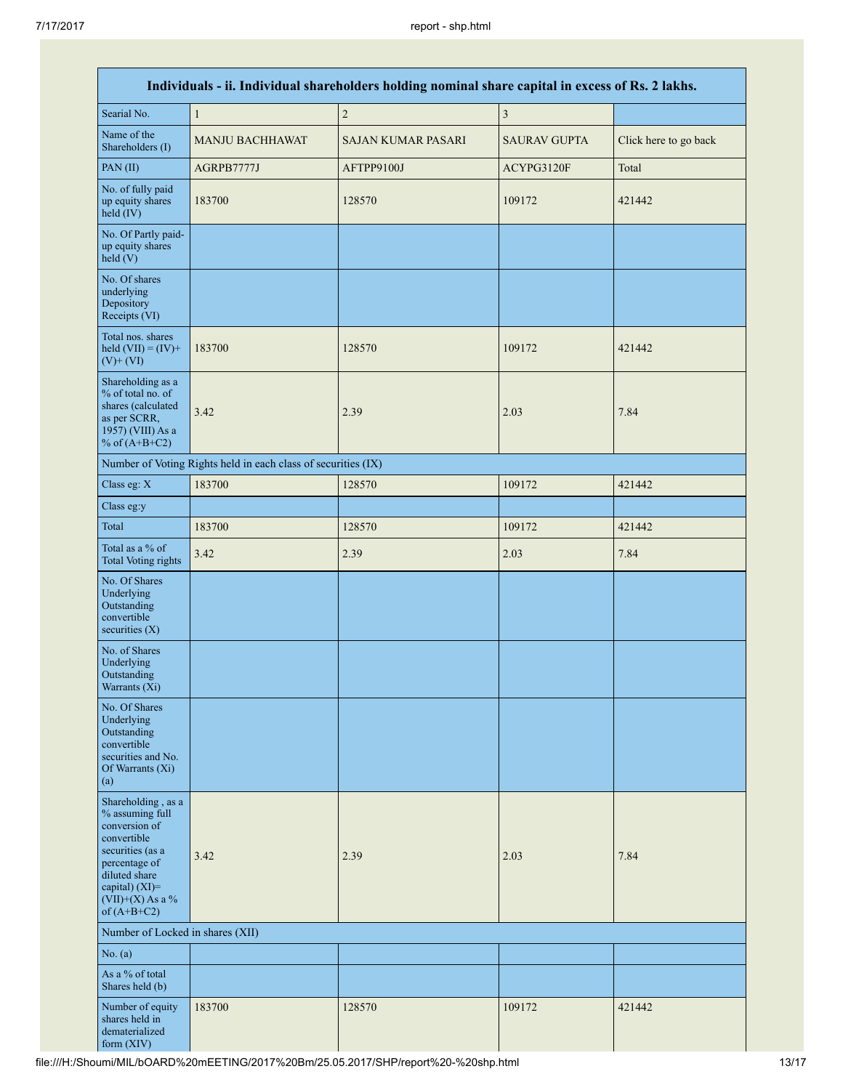| Individuals - ii. Individual shareholders holding nominal share capital in excess of Rs. 2 lakhs.                                                                                       |                                                               |                           |                         |                       |  |
|-----------------------------------------------------------------------------------------------------------------------------------------------------------------------------------------|---------------------------------------------------------------|---------------------------|-------------------------|-----------------------|--|
| Searial No.                                                                                                                                                                             | $\mathbf{1}$                                                  | $\overline{c}$            | $\overline{\mathbf{3}}$ |                       |  |
| Name of the<br>Shareholders (I)                                                                                                                                                         | <b>MANJU BACHHAWAT</b>                                        | <b>SAJAN KUMAR PASARI</b> | <b>SAURAV GUPTA</b>     | Click here to go back |  |
| PAN (II)                                                                                                                                                                                | AGRPB7777J                                                    | AFTPP9100J                | ACYPG3120F              | Total                 |  |
| No. of fully paid<br>up equity shares<br>$held$ (IV)                                                                                                                                    | 183700                                                        | 128570                    | 109172                  | 421442                |  |
| No. Of Partly paid-<br>up equity shares<br>held(V)                                                                                                                                      |                                                               |                           |                         |                       |  |
| No. Of shares<br>underlying<br>Depository<br>Receipts (VI)                                                                                                                              |                                                               |                           |                         |                       |  |
| Total nos. shares<br>held $(VII) = (IV) +$<br>$(V)$ + $(VI)$                                                                                                                            | 183700                                                        | 128570                    | 109172                  | 421442                |  |
| Shareholding as a<br>% of total no. of<br>shares (calculated<br>as per SCRR,<br>1957) (VIII) As a<br>% of $(A+B+C2)$                                                                    | 3.42                                                          | 2.39                      | 2.03                    | 7.84                  |  |
|                                                                                                                                                                                         | Number of Voting Rights held in each class of securities (IX) |                           |                         |                       |  |
| Class eg: X                                                                                                                                                                             | 183700                                                        | 128570                    | 109172                  | 421442                |  |
| Class eg:y                                                                                                                                                                              |                                                               |                           |                         |                       |  |
| Total                                                                                                                                                                                   | 183700                                                        | 128570                    | 109172                  | 421442                |  |
| Total as a % of<br><b>Total Voting rights</b>                                                                                                                                           | 3.42                                                          | 2.39                      | 2.03                    | 7.84                  |  |
| No. Of Shares<br>Underlying<br>Outstanding<br>convertible<br>securities $(X)$                                                                                                           |                                                               |                           |                         |                       |  |
| No. of Shares<br>Underlying<br>Outstanding<br>Warrants (Xi)                                                                                                                             |                                                               |                           |                         |                       |  |
| No. Of Shares<br>Underlying<br>Outstanding<br>convertible<br>securities and No.<br>Of Warrants (Xi)<br>(a)                                                                              |                                                               |                           |                         |                       |  |
| Shareholding, as a<br>% assuming full<br>conversion of<br>convertible<br>securities (as a<br>percentage of<br>diluted share<br>capital) $(XI)$ =<br>$(VII)+(X)$ As a %<br>of $(A+B+C2)$ | 3.42                                                          | 2.39                      | 2.03                    | 7.84                  |  |
| Number of Locked in shares (XII)                                                                                                                                                        |                                                               |                           |                         |                       |  |
| No. (a)                                                                                                                                                                                 |                                                               |                           |                         |                       |  |
| As a % of total<br>Shares held (b)                                                                                                                                                      |                                                               |                           |                         |                       |  |
| Number of equity<br>shares held in<br>dematerialized<br>form $(XIV)$                                                                                                                    | 183700                                                        | 128570                    | 109172                  | 421442                |  |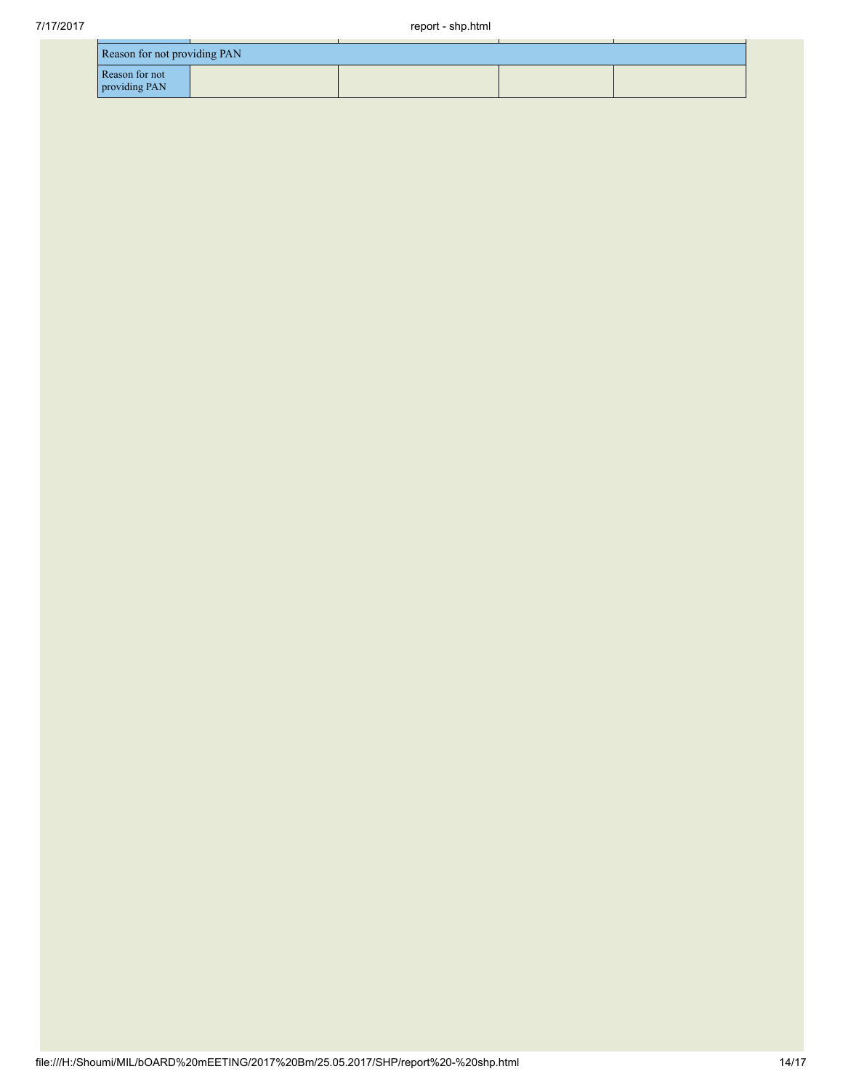| Reason for not providing PAN    |  |  |  |  |  |
|---------------------------------|--|--|--|--|--|
| Reason for not<br>providing PAN |  |  |  |  |  |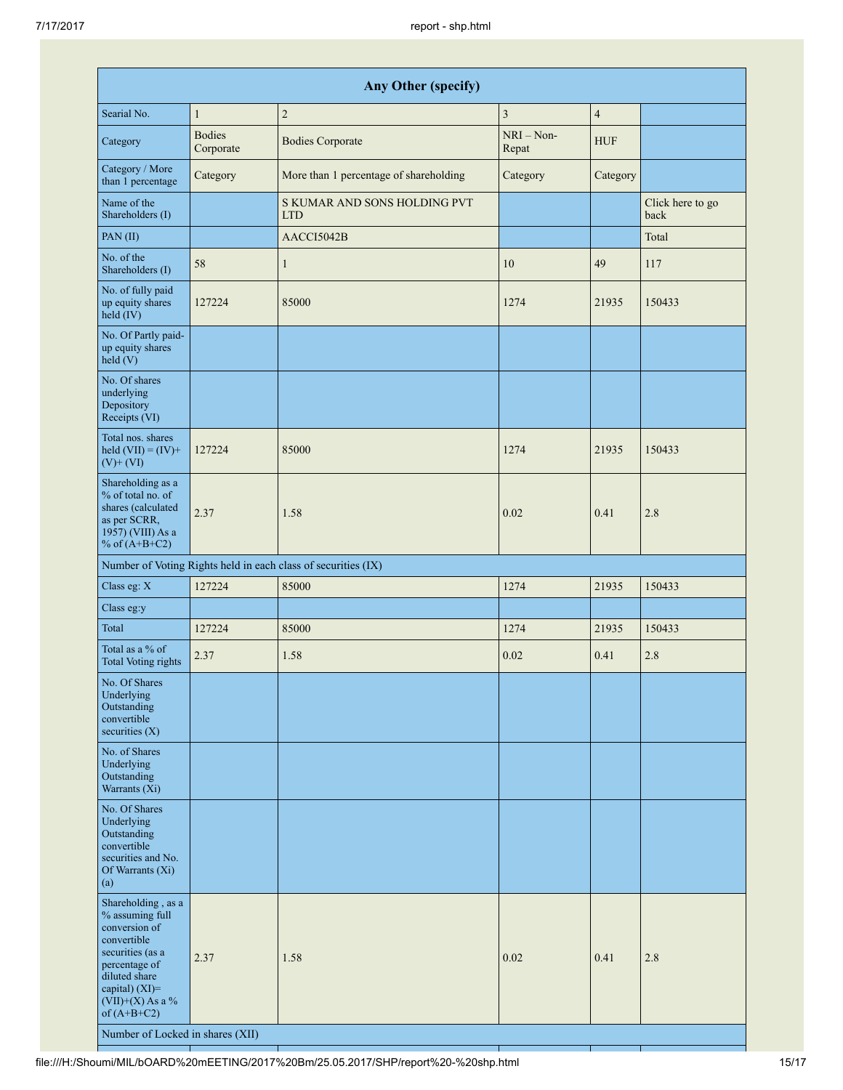| Any Other (specify)                                                                                                                                                                                                         |                            |                                                               |                         |                |                          |
|-----------------------------------------------------------------------------------------------------------------------------------------------------------------------------------------------------------------------------|----------------------------|---------------------------------------------------------------|-------------------------|----------------|--------------------------|
| Searial No.                                                                                                                                                                                                                 | $\mathbf{1}$               | $\sqrt{2}$                                                    | $\overline{\mathbf{3}}$ | $\overline{4}$ |                          |
| Category                                                                                                                                                                                                                    | <b>Bodies</b><br>Corporate | <b>Bodies Corporate</b>                                       | $NRI - Non-$<br>Repat   | <b>HUF</b>     |                          |
| Category / More<br>than 1 percentage                                                                                                                                                                                        | Category                   | More than 1 percentage of shareholding                        | Category                | Category       |                          |
| Name of the<br>Shareholders (I)                                                                                                                                                                                             |                            | S KUMAR AND SONS HOLDING PVT<br><b>LTD</b>                    |                         |                | Click here to go<br>back |
| PAN(II)                                                                                                                                                                                                                     |                            | AACCI5042B                                                    |                         |                | Total                    |
| No. of the<br>Shareholders (I)                                                                                                                                                                                              | 58                         | $\mathbf{1}$                                                  | 10                      | 49             | 117                      |
| No. of fully paid<br>up equity shares<br>$held$ (IV)                                                                                                                                                                        | 127224                     | 85000                                                         | 1274                    | 21935          | 150433                   |
| No. Of Partly paid-<br>up equity shares<br>held(V)                                                                                                                                                                          |                            |                                                               |                         |                |                          |
| No. Of shares<br>underlying<br>Depository<br>Receipts (VI)                                                                                                                                                                  |                            |                                                               |                         |                |                          |
| Total nos. shares<br>held $(VII) = (IV) +$<br>$(V)$ + $(VI)$                                                                                                                                                                | 127224                     | 85000                                                         | 1274                    | 21935          | 150433                   |
| Shareholding as a<br>% of total no. of<br>shares (calculated<br>as per SCRR,<br>1957) (VIII) As a<br>% of $(A+B+C2)$                                                                                                        | 2.37                       | 1.58                                                          | 0.02                    | 0.41           | 2.8                      |
|                                                                                                                                                                                                                             |                            | Number of Voting Rights held in each class of securities (IX) |                         |                |                          |
| Class eg: X                                                                                                                                                                                                                 | 127224                     | 85000                                                         | 1274                    | 21935          | 150433                   |
| Class eg:y                                                                                                                                                                                                                  |                            |                                                               |                         |                |                          |
| Total                                                                                                                                                                                                                       | 127224                     | 85000                                                         | 1274                    | 21935          | 150433                   |
| Total as a % of<br><b>Total Voting rights</b>                                                                                                                                                                               | 2.37                       | 1.58                                                          | 0.02                    | 0.41           | 2.8                      |
| No. Of Shares<br>Underlying<br>Outstanding<br>convertible<br>securities $(X)$                                                                                                                                               |                            |                                                               |                         |                |                          |
| No. of Shares<br>Underlying<br>Outstanding<br>Warrants $(X_i)$                                                                                                                                                              |                            |                                                               |                         |                |                          |
| No. Of Shares<br>Underlying<br>Outstanding<br>convertible<br>securities and No.<br>Of Warrants (Xi)<br>(a)                                                                                                                  |                            |                                                               |                         |                |                          |
| Shareholding, as a<br>% assuming full<br>conversion of<br>convertible<br>securities (as a<br>percentage of<br>diluted share<br>capital) $(XI)$ =<br>$(VII)+(X)$ As a %<br>of $(A+B+C2)$<br>Number of Locked in shares (XII) | 2.37                       | 1.58                                                          | 0.02                    | 0.41           | 2.8                      |